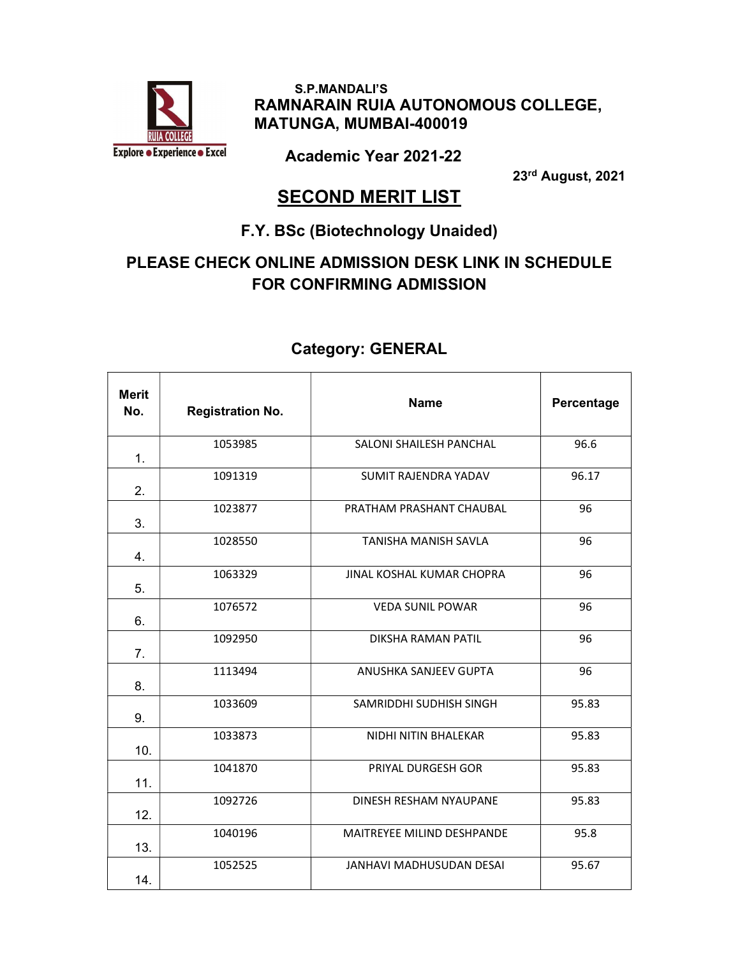

 S.P.MANDALI'S RAMNARAIN RUIA AUTONOMOUS COLLEGE, MATUNGA, MUMBAI-400019

Academic Year 2021-22

23rd August, 2021

## **SECOND MERIT LIST**

#### F.Y. BSc (Biotechnology Unaided)

## PLEASE CHECK ONLINE ADMISSION DESK LINK IN SCHEDULE FOR CONFIRMING ADMISSION

| <b>Merit</b><br>No. | <b>Registration No.</b> | <b>Name</b>                | Percentage |
|---------------------|-------------------------|----------------------------|------------|
| 1.                  | 1053985                 | SALONI SHAILESH PANCHAL    | 96.6       |
| 2.                  | 1091319                 | SUMIT RAJENDRA YADAV       | 96.17      |
| 3.                  | 1023877                 | PRATHAM PRASHANT CHAUBAL   | 96         |
| 4.                  | 1028550                 | TANISHA MANISH SAVLA       | 96         |
| 5.                  | 1063329                 | JINAL KOSHAL KUMAR CHOPRA  | 96         |
| 6.                  | 1076572                 | <b>VEDA SUNIL POWAR</b>    | 96         |
| 7 <sub>1</sub>      | 1092950                 | DIKSHA RAMAN PATIL         | 96         |
| 8.                  | 1113494                 | ANUSHKA SANJEEV GUPTA      | 96         |
| 9.                  | 1033609                 | SAMRIDDHI SUDHISH SINGH    | 95.83      |
| 10.                 | 1033873                 | NIDHI NITIN BHALEKAR       | 95.83      |
| 11.                 | 1041870                 | PRIYAL DURGESH GOR         | 95.83      |
| 12.                 | 1092726                 | DINESH RESHAM NYAUPANE     | 95.83      |
| 13.                 | 1040196                 | MAITREYEE MILIND DESHPANDE | 95.8       |
| 14.                 | 1052525                 | JANHAVI MADHUSUDAN DESAI   | 95.67      |

#### Category: GENERAL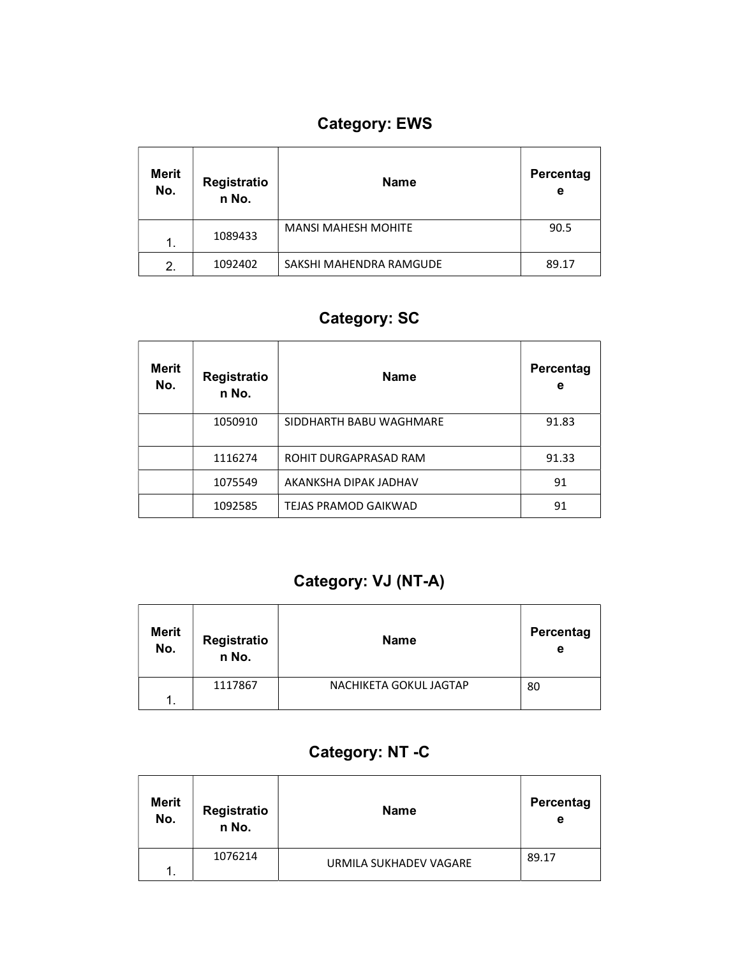# Category: EWS

| <b>Merit</b><br>No. | Registratio<br>n No. | <b>Name</b>                | Percentag<br>е |
|---------------------|----------------------|----------------------------|----------------|
| 1.                  | 1089433              | <b>MANSI MAHESH MOHITE</b> | 90.5           |
| 2.                  | 1092402              | SAKSHI MAHENDRA RAMGUDE    | 89.17          |

## Category: SC

| <b>Merit</b><br>No. | Registratio<br>n No. | <b>Name</b>                 | Percentag<br>е |
|---------------------|----------------------|-----------------------------|----------------|
|                     | 1050910              | SIDDHARTH BABU WAGHMARE     | 91.83          |
|                     | 1116274              | ROHIT DURGAPRASAD RAM       | 91.33          |
|                     | 1075549              | AKANKSHA DIPAK JADHAV       | 91             |
|                     | 1092585              | <b>TEJAS PRAMOD GAIKWAD</b> | 91             |

## Category: VJ (NT-A)

| Merit<br>No. | Registratio<br>n No. | <b>Name</b>            | Percentag<br>е |
|--------------|----------------------|------------------------|----------------|
|              | 1117867              | NACHIKETA GOKUL JAGTAP | 80             |
| 1            |                      |                        |                |

## Category: NT -C

| <b>Merit</b><br>No. | Registratio<br>n No. | <b>Name</b>            | Percentag<br>е |
|---------------------|----------------------|------------------------|----------------|
| 1.                  | 1076214              | URMILA SUKHADEV VAGARE | 89.17          |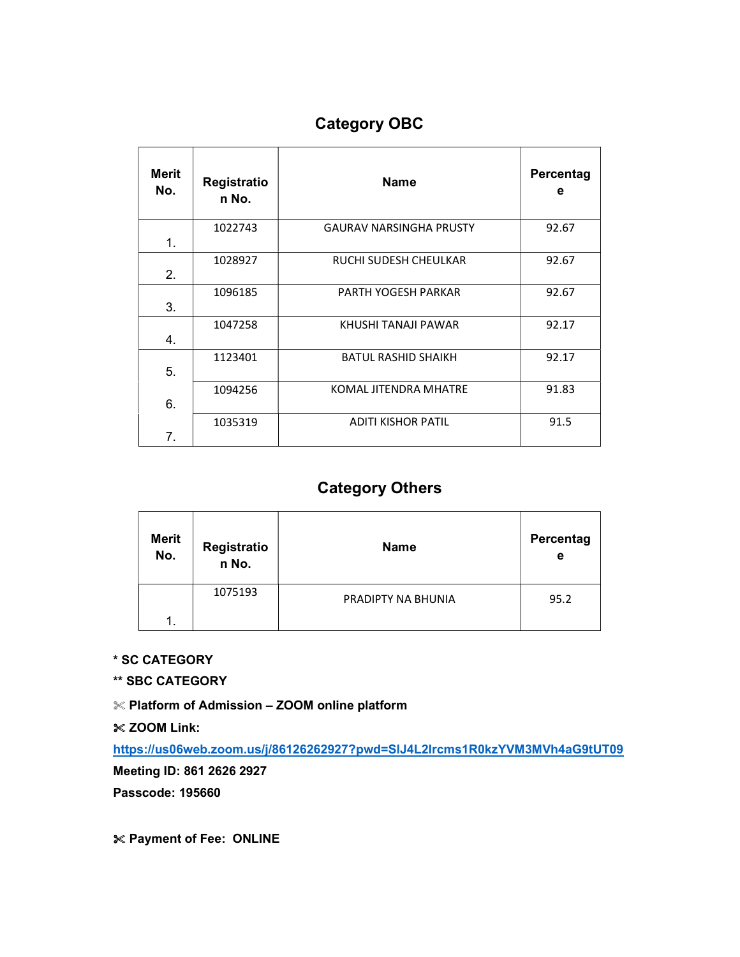## Category OBC

| <b>Merit</b><br>No. | Registratio<br>n No. | <b>Name</b>                    | Percentag<br>е |
|---------------------|----------------------|--------------------------------|----------------|
| 1.                  | 1022743              | <b>GAURAV NARSINGHA PRUSTY</b> | 92.67          |
| 2.                  | 1028927              | RUCHI SUDESH CHEULKAR          | 92.67          |
| 3.                  | 1096185              | PARTH YOGESH PARKAR            | 92.67          |
| 4.                  | 1047258              | KHUSHI TANAJI PAWAR            | 92.17          |
| 5.                  | 1123401              | <b>BATUL RASHID SHAIKH</b>     | 92.17          |
| 6.                  | 1094256              | <b>KOMAL JITENDRA MHATRE</b>   | 91.83          |
| 7.                  | 1035319              | <b>ADITI KISHOR PATIL</b>      | 91.5           |

## Category Others

| <b>Merit</b><br>No. | Registratio<br>n No. | <b>Name</b>        | Percentag<br>е |
|---------------------|----------------------|--------------------|----------------|
|                     | 1075193              | PRADIPTY NA BHUNIA | 95.2           |
|                     |                      |                    |                |

\* SC CATEGORY

\*\* SBC CATEGORY

Platform of Admission – ZOOM online platform

 $\&$  ZOOM Link:

https://us06web.zoom.us/j/86126262927?pwd=SlJ4L2Ircms1R0kzYVM3MVh4aG9tUT09

Meeting ID: 861 2626 2927

Passcode: 195660

Payment of Fee: ONLINE